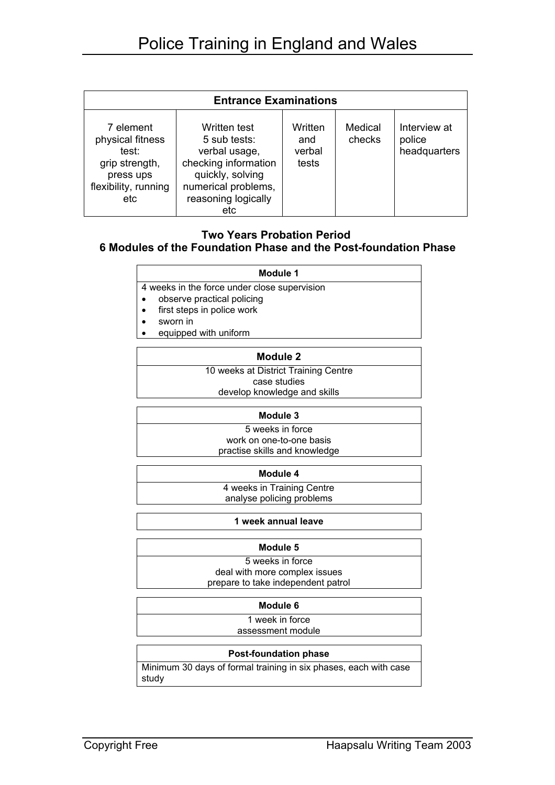| <b>Entrance Examinations</b>                                                                         |                                                                                                                                                |                                   |                   |                                        |  |
|------------------------------------------------------------------------------------------------------|------------------------------------------------------------------------------------------------------------------------------------------------|-----------------------------------|-------------------|----------------------------------------|--|
| 7 element<br>physical fitness<br>test:<br>grip strength,<br>press ups<br>flexibility, running<br>etc | Written test<br>5 sub tests:<br>verbal usage,<br>checking information<br>quickly, solving<br>numerical problems,<br>reasoning logically<br>etc | Written<br>and<br>verbal<br>tests | Medical<br>checks | Interview at<br>police<br>headquarters |  |

# **Two Years Probation Period**

## **6 Modules of the Foundation Phase and the Post-foundation Phase**

| Module 1 |  |
|----------|--|
|----------|--|

4 weeks in the force under close supervision

- observe practical policing
- first steps in police work
- sworn in
- equipped with uniform

#### **Module 2**

10 weeks at District Training Centre case studies

develop knowledge and skills

#### **Module 3**

5 weeks in force work on one-to-one basis practise skills and knowledge

**Module 4**

4 weeks in Training Centre analyse policing problems

**1 week annual leave**

#### **Module 5**

5 weeks in force deal with more complex issues prepare to take independent patrol

#### **Module 6**

1 week in force assessment module

#### **Post-foundation phase**

Minimum 30 days of formal training in six phases, each with case study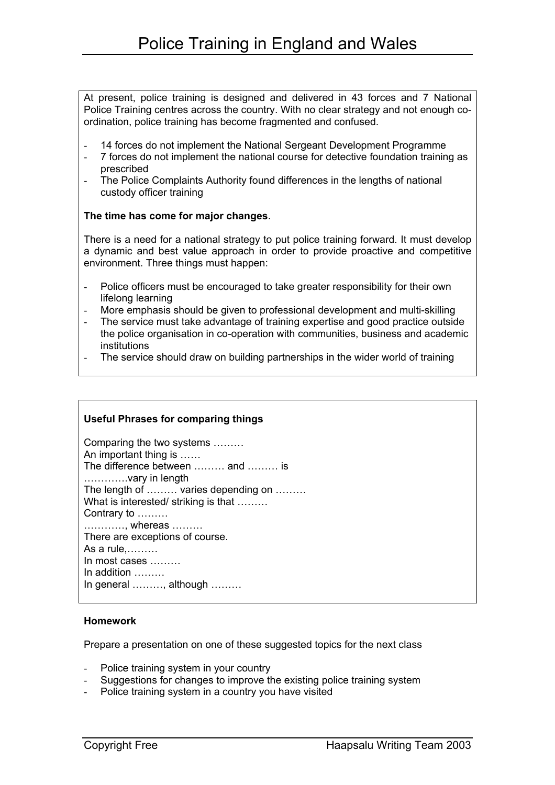At present, police training is designed and delivered in 43 forces and 7 National Police Training centres across the country. With no clear strategy and not enough coordination, police training has become fragmented and confused.

- 14 forces do not implement the National Sergeant Development Programme
- 7 forces do not implement the national course for detective foundation training as prescribed
- The Police Complaints Authority found differences in the lengths of national custody officer training

#### **The time has come for major changes**.

There is a need for a national strategy to put police training forward. It must develop a dynamic and best value approach in order to provide proactive and competitive environment. Three things must happen:

- Police officers must be encouraged to take greater responsibility for their own lifelong learning
- More emphasis should be given to professional development and multi-skilling
- The service must take advantage of training expertise and good practice outside the police organisation in co-operation with communities, business and academic institutions
- The service should draw on building partnerships in the wider world of training

## **Useful Phrases for comparing things**

| Comparing the two systems<br>An important thing is<br>The difference between  and  is |
|---------------------------------------------------------------------------------------|
| vary in length                                                                        |
| The length of  varies depending on                                                    |
| What is interested/striking is that                                                   |
| Contrary to                                                                           |
| , whereas                                                                             |
| There are exceptions of course.                                                       |
| As a rule,                                                                            |
| In most cases $\dots\dots$                                                            |
| In addition $\ldots \ldots$                                                           |
| In general , although                                                                 |
|                                                                                       |

#### **Homework**

Prepare a presentation on one of these suggested topics for the next class

- Police training system in your country
- Suggestions for changes to improve the existing police training system
- Police training system in a country you have visited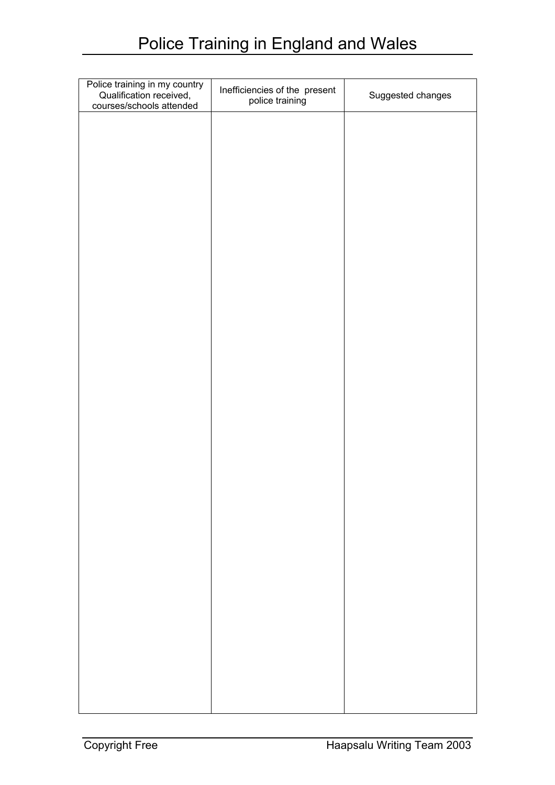| Police training in my country<br>Qualification received,<br>courses/schools attended | Inefficiencies of the present<br>police training | Suggested changes |
|--------------------------------------------------------------------------------------|--------------------------------------------------|-------------------|
|                                                                                      |                                                  |                   |
|                                                                                      |                                                  |                   |
|                                                                                      |                                                  |                   |
|                                                                                      |                                                  |                   |
|                                                                                      |                                                  |                   |
|                                                                                      |                                                  |                   |
|                                                                                      |                                                  |                   |
|                                                                                      |                                                  |                   |
|                                                                                      |                                                  |                   |
|                                                                                      |                                                  |                   |
|                                                                                      |                                                  |                   |
|                                                                                      |                                                  |                   |
|                                                                                      |                                                  |                   |
|                                                                                      |                                                  |                   |
|                                                                                      |                                                  |                   |
|                                                                                      |                                                  |                   |
|                                                                                      |                                                  |                   |
|                                                                                      |                                                  |                   |
|                                                                                      |                                                  |                   |
|                                                                                      |                                                  |                   |